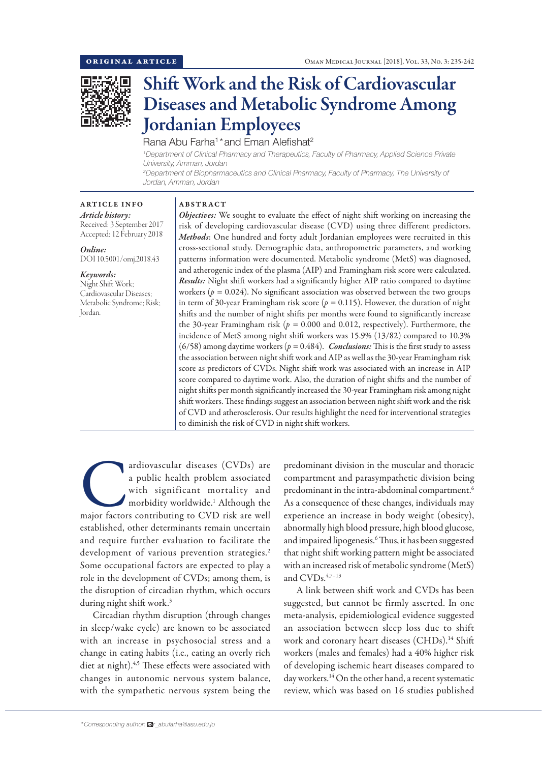

# Shift Work and the Risk of Cardiovascular Diseases and Metabolic Syndrome Among Jordanian Employees

Rana Abu Farha<sup>1</sup>\*and Eman Alefishat<sup>2</sup>

*1 Department of Clinical Pharmacy and Therapeutics, Faculty of Pharmacy, Applied Science Private University, Amman, Jordan*

*2 Department of Biopharmaceutics and Clinical Pharmacy, Faculty of Pharmacy, The University of Jordan, Amman, Jordan*

# ARTICLE INFO *Article history:* Received: 3 September 2017

Accepted: 12 February 2018 *Online:*

DOI 10.5001/omj.2018.43

*Keywords:*  Night Shift Work; Cardiovascular Diseases; Metabolic Syndrome; Risk; Jordan.

## ABSTRACT

*Objectives:* We sought to evaluate the effect of night shift working on increasing the risk of developing cardiovascular disease (CVD) using three different predictors. *Methods*: One hundred and forty adult Jordanian employees were recruited in this cross-sectional study. Demographic data, anthropometric parameters, and working patterns information were documented. Metabolic syndrome (MetS) was diagnosed, and atherogenic index of the plasma (AIP) and Framingham risk score were calculated. *Results:* Night shift workers had a significantly higher AIP ratio compared to daytime workers ( $p = 0.024$ ). No significant association was observed between the two groups in term of 30-year Framingham risk score (*p =* 0.115). However, the duration of night shifts and the number of night shifts per months were found to significantly increase the 30-year Framingham risk ( $p = 0.000$  and 0.012, respectively). Furthermore, the incidence of MetS among night shift workers was 15.9% (13/82) compared to 10.3% (6/58) among daytime workers ( $p = 0.484$ ). *Conclusions:* This is the first study to assess the association between night shift work and AIP as well as the 30-year Framingham risk score as predictors of CVDs. Night shift work was associated with an increase in AIP score compared to daytime work. Also, the duration of night shifts and the number of night shifts per month significantly increased the 30-year Framingham risk among night shift workers. These findings suggest an association between night shift work and the risk of CVD and atherosclerosis. Our results highlight the need for interventional strategies to diminish the risk of CVD in night shift workers.

ardiovascular diseases (CVDs) are<br>
a public health problem associated<br>
with significant mortality and<br>
morbidity worldwide.<sup>1</sup> Although the<br>
major factors contributing to CVD risk are well a public health problem associated with significant mortality and morbidity worldwide.1 Although the established, other determinants remain uncertain and require further evaluation to facilitate the development of various prevention strategies.<sup>2</sup> Some occupational factors are expected to play a role in the development of CVDs; among them, is the disruption of circadian rhythm, which occurs during night shift work.<sup>3</sup>

Circadian rhythm disruption (through changes in sleep/wake cycle) are known to be associated with an increase in psychosocial stress and a change in eating habits (i.e., eating an overly rich diet at night).<sup>4,5</sup> These effects were associated with changes in autonomic nervous system balance, with the sympathetic nervous system being the predominant division in the muscular and thoracic compartment and parasympathetic division being predominant in the intra-abdominal compartment.6 As a consequence of these changes, individuals may experience an increase in body weight (obesity), abnormally high blood pressure, high blood glucose, and impaired lipogenesis.6 Thus, it has been suggested that night shift working pattern might be associated with an increased risk of metabolic syndrome (MetS) and CVDs.<sup>4,7-13</sup>

A link between shift work and CVDs has been suggested, but cannot be firmly asserted. In one meta-analysis, epidemiological evidence suggested an association between sleep loss due to shift work and coronary heart diseases (CHDs).<sup>14</sup> Shift workers (males and females) had a 40% higher risk of developing ischemic heart diseases compared to day workers.14 On the other hand, a recent systematic review, which was based on 16 studies published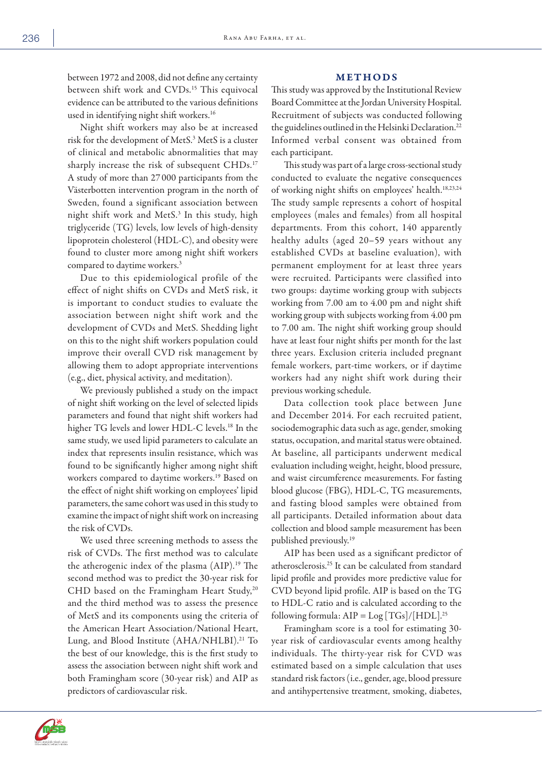between 1972 and 2008, did not define any certainty between shift work and CVDs.<sup>15</sup> This equivocal evidence can be attributed to the various definitions used in identifying night shift workers.16

Night shift workers may also be at increased risk for the development of MetS.3 MetS is a cluster of clinical and metabolic abnormalities that may sharply increase the risk of subsequent CHDs.17 A study of more than 27 000 participants from the Västerbotten intervention program in the north of Sweden, found a significant association between night shift work and MetS.3 In this study, high triglyceride (TG) levels, low levels of high-density lipoprotein cholesterol (HDL-C), and obesity were found to cluster more among night shift workers compared to daytime workers.3

Due to this epidemiological profile of the effect of night shifts on CVDs and MetS risk, it is important to conduct studies to evaluate the association between night shift work and the development of CVDs and MetS. Shedding light on this to the night shift workers population could improve their overall CVD risk management by allowing them to adopt appropriate interventions (e.g., diet, physical activity, and meditation).

We previously published a study on the impact of night shift working on the level of selected lipids parameters and found that night shift workers had higher TG levels and lower HDL-C levels.18 In the same study, we used lipid parameters to calculate an index that represents insulin resistance, which was found to be significantly higher among night shift workers compared to daytime workers.19 Based on the effect of night shift working on employees' lipid parameters, the same cohort was used in this study to examine the impact of night shift work on increasing the risk of CVDs.

We used three screening methods to assess the risk of CVDs. The first method was to calculate the atherogenic index of the plasma (AIP).<sup>19</sup> The second method was to predict the 30-year risk for CHD based on the Framingham Heart Study,<sup>20</sup> and the third method was to assess the presence of MetS and its components using the criteria of the American Heart Association/National Heart, Lung, and Blood Institute (AHA/NHLBI).<sup>21</sup> To the best of our knowledge, this is the first study to assess the association between night shift work and both Framingham score (30-year risk) and AIP as predictors of cardiovascular risk.

# METHODS

This study was approved by the Institutional Review Board Committee at the Jordan University Hospital. Recruitment of subjects was conducted following the guidelines outlined in the Helsinki Declaration.<sup>22</sup> Informed verbal consent was obtained from each participant.

This study was part of a large cross-sectional study conducted to evaluate the negative consequences of working night shifts on employees' health.<sup>18,23,24</sup> The study sample represents a cohort of hospital employees (males and females) from all hospital departments. From this cohort, 140 apparently healthy adults (aged 20–59 years without any established CVDs at baseline evaluation), with permanent employment for at least three years were recruited. Participants were classified into two groups: daytime working group with subjects working from 7.00 am to 4.00 pm and night shift working group with subjects working from 4.00 pm to 7.00 am. The night shift working group should have at least four night shifts per month for the last three years. Exclusion criteria included pregnant female workers, part-time workers, or if daytime workers had any night shift work during their previous working schedule.

Data collection took place between June and December 2014. For each recruited patient, sociodemographic data such as age, gender, smoking status, occupation, and marital status were obtained. At baseline, all participants underwent medical evaluation including weight, height, blood pressure, and waist circumference measurements. For fasting blood glucose (FBG), HDL-C, TG measurements, and fasting blood samples were obtained from all participants. Detailed information about data collection and blood sample measurement has been published previously.19

AIP has been used as a significant predictor of atherosclerosis.25 It can be calculated from standard lipid profile and provides more predictive value for CVD beyond lipid profile. AIP is based on the TG to HDL-C ratio and is calculated according to the following formula:  $AIP = Log [TGs]/[HDL]^{25}$ 

Framingham score is a tool for estimating 30 year risk of cardiovascular events among healthy individuals. The thirty-year risk for CVD was estimated based on a simple calculation that uses standard risk factors (i.e., gender, age, blood pressure and antihypertensive treatment, smoking, diabetes,

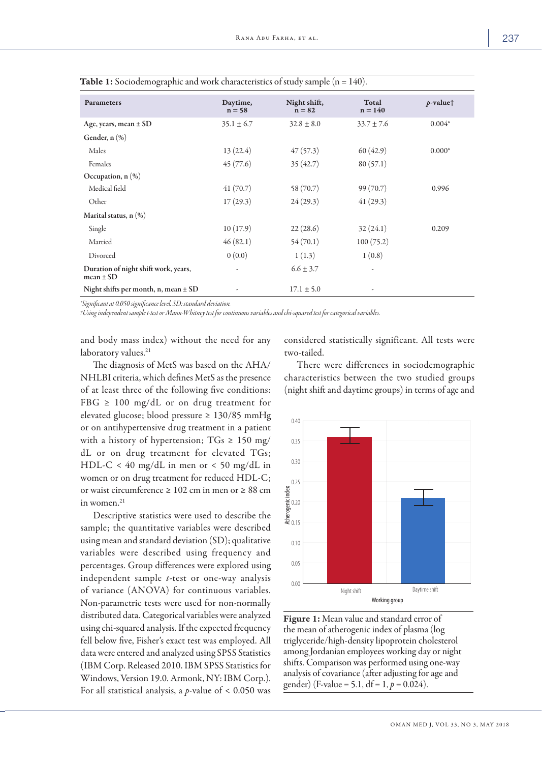| Parameters                                            | Daytime,<br>$n = 58$ | Night shift,<br>$n = 82$ | Total<br>$n = 140$ | $p$ -valuet |
|-------------------------------------------------------|----------------------|--------------------------|--------------------|-------------|
| Age, years, mean ± SD                                 | $35.1 \pm 6.7$       | $32.8 \pm 8.0$           | $33.7 \pm 7.6$     | $0.004*$    |
| Gender, $n$ $(\%)$                                    |                      |                          |                    |             |
| Males                                                 | 13(22.4)             | 47(57.3)                 | 60(42.9)           | $0.000*$    |
| Females                                               | 45(77.6)             | 35(42.7)                 | 80(57.1)           |             |
| Occupation, $n$ $(\%)$                                |                      |                          |                    |             |
| Medical field                                         | 41(70.7)             | 58 (70.7)                | 99(70.7)           | 0.996       |
| Other                                                 | 17(29.3)             | 24(29.3)                 | 41(29.3)           |             |
| Marital status, $n$ $(\%)$                            |                      |                          |                    |             |
| Single                                                | 10(17.9)             | 22(28.6)                 | 32(24.1)           | 0.209       |
| Married                                               | 46(82.1)             | 54(70.1)                 | 100(75.2)          |             |
| Divorced                                              | 0(0.0)               | 1(1.3)                   | 1(0.8)             |             |
| Duration of night shift work, years,<br>$mean \pm SD$ |                      | $6.6 \pm 3.7$            |                    |             |
| Night shifts per month, n, mean $\pm$ SD              |                      | $17.1 \pm 5.0$           |                    |             |

| <b>Table 1:</b> Sociodemographic and work characteristics of study sample ( $n = 140$ ). |  |  |  |
|------------------------------------------------------------------------------------------|--|--|--|
|------------------------------------------------------------------------------------------|--|--|--|

*\*Significant at 0.050 significance level. SD: standard deviation.* 

*†Using independent sample t-test or Mann-Whitney test for continuous variables and chi-squared test for categorical variables.*

and body mass index) without the need for any laboratory values.<sup>21</sup>

The diagnosis of MetS was based on the AHA/ NHLBI criteria, which defines MetS as the presence of at least three of the following five conditions: FBG  $\geq$  100 mg/dL or on drug treatment for elevated glucose; blood pressure ≥ 130/85 mmHg or on antihypertensive drug treatment in a patient with a history of hypertension;  $TGs \ge 150$  mg/ dL or on drug treatment for elevated TGs; HDL-C < 40 mg/dL in men or < 50 mg/dL in women or on drug treatment for reduced HDL-C; or waist circumference ≥ 102 cm in men or ≥ 88 cm in women. $21$ 

Descriptive statistics were used to describe the sample; the quantitative variables were described using mean and standard deviation (SD); qualitative variables were described using frequency and percentages. Group differences were explored using independent sample *t*-test or one-way analysis of variance (ANOVA) for continuous variables. Non-parametric tests were used for non-normally distributed data. Categorical variables were analyzed using chi-squared analysis. If the expected frequency fell below five, Fisher's exact test was employed. All data were entered and analyzed using SPSS Statistics (IBM Corp. Released 2010. IBM SPSS Statistics for Windows, Version 19.0. Armonk, NY: IBM Corp.). For all statistical analysis, a *p*-value of < 0.050 was

considered statistically significant. All tests were two-tailed.

There were differences in sociodemographic characteristics between the two studied groups (night shift and daytime groups) in terms of age and



Figure 1: Mean value and standard error of the mean of atherogenic index of plasma (log triglyceride/high-density lipoprotein cholesterol among Jordanian employees working day or night shifts. Comparison was performed using one-way analysis of covariance (after adjusting for age and gender) (F-value = 5.1, df = 1,  $p = 0.024$ ).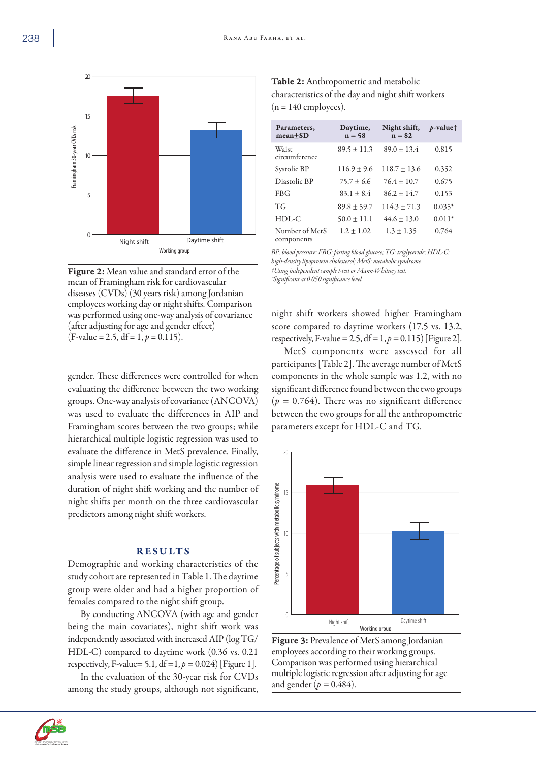

Figure 2: Mean value and standard error of the mean of Framingham risk for cardiovascular diseases (CVDs) (30 years risk) among Jordanian employees working day or night shifts. Comparison was performed using one-way analysis of covariance (after adjusting for age and gender effect)  $(F-value = 2.5, df = 1, p = 0.115).$ 

gender. These differences were controlled for when evaluating the difference between the two working groups. One-way analysis of covariance (ANCOVA) was used to evaluate the differences in AIP and Framingham scores between the two groups; while hierarchical multiple logistic regression was used to evaluate the difference in MetS prevalence. Finally, simple linear regression and simple logistic regression analysis were used to evaluate the influence of the duration of night shift working and the number of night shifts per month on the three cardiovascular predictors among night shift workers.

# RESULTS

Demographic and working characteristics of the study cohort are represented in Table 1. The daytime group were older and had a higher proportion of females compared to the night shift group.

By conducting ANCOVA (with age and gender being the main covariates), night shift work was independently associated with increased AIP (log TG/ HDL-C) compared to daytime work (0.36 vs. 0.21 respectively, F-value= 5.1,  $df = 1, p = 0.024$  [Figure 1].

In the evaluation of the 30-year risk for CVDs among the study groups, although not significant,

Table 2: Anthropometric and metabolic characteristics of the day and night shift workers  $(n = 140$  employees).

| Parameters,<br>$mean+SD$     | Daytime,<br>$n = 58$ | Night shift,<br>$n = 82$ | $p$ -value <sup>+</sup> |
|------------------------------|----------------------|--------------------------|-------------------------|
| Waist<br>circumference       | $89.5 \pm 11.3$      | $89.0 \pm 13.4$          | 0.815                   |
| Systolic BP                  | $116.9 + 9.6$        | $118.7 \pm 13.6$         | 0.352                   |
| Diastolic BP                 | $75.7 \pm 6.6$       | $76.4 \pm 10.7$          | 0.675                   |
| <b>FBG</b>                   | $83.1 + 8.4$         | $86.2 + 14.7$            | 0.153                   |
| TG                           | $89.8 \pm 59.7$      | $114.3 \pm 71.3$         | $0.035*$                |
| $HDL-C$                      | $50.0 \pm 11.1$      | $44.6 \pm 13.0$          | $0.011*$                |
| Number of MetS<br>components | $1.2 \pm 1.02$       | $1.3 \pm 1.35$           | 0.764                   |

*BP: blood pressure; FBG: fasting blood glucose; TG: triglyceride; HDL-C: high-density lipoprotein cholesterol; MetS: metabolic syndrome. †Using independent sample t-test or Mann-Whitney test. \*Significant at 0.050 significance level.*

night shift workers showed higher Framingham score compared to daytime workers (17.5 vs. 13.2, respectively, F-value = 2.5,  $df = 1, p = 0.115$ ) [Figure 2].

MetS components were assessed for all participants [Table 2]. The average number of MetS components in the whole sample was 1.2, with no significant difference found between the two groups  $(p = 0.764)$ . There was no significant difference between the two groups for all the anthropometric parameters except for HDL-C and TG.



Figure 3: Prevalence of MetS among Jordanian employees according to their working groups. Comparison was performed using hierarchical multiple logistic regression after adjusting for age and gender ( $p = 0.484$ ).

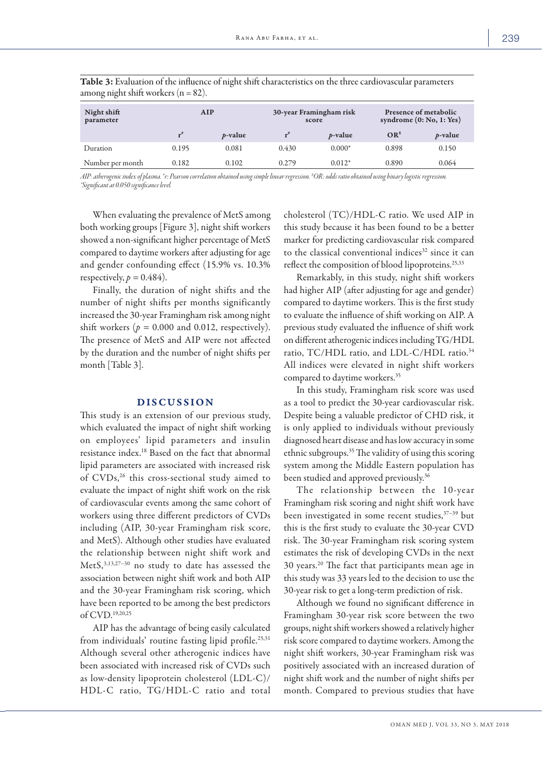| $\sim$<br>$\sim$         |                   |            |                   |                                  |                 |                                                     |  |
|--------------------------|-------------------|------------|-------------------|----------------------------------|-----------------|-----------------------------------------------------|--|
| Night shift<br>parameter | AIP               |            |                   | 30-year Framingham risk<br>score |                 | Presence of metabolic<br>syndrome $(0: No, 1: Yes)$ |  |
|                          | $\mathbf{r}^{\#}$ | $p$ -value | $r^{\tilde{\pi}}$ | $p$ -value                       | OR <sup>s</sup> | $p$ -value                                          |  |
| Duration                 | 0.195             | 0.081      | 0.430             | $0.000*$                         | 0.898           | 0.150                                               |  |
| Number per month         | 0.182             | 0.102      | 0.279             | $0.012*$                         | 0.890           | 0.064                                               |  |

Table 3: Evaluation of the influence of night shift characteristics on the three cardiovascular parameters among night shift workers  $(n = 82)$ .

*AIP: atherogenic index of plasma. # r: Pearson correlation obtained using simple linear regression. \$ OR: odds ratio obtained using binary logistic regression. \*Significant at 0.050 significance level.*

When evaluating the prevalence of MetS among both working groups [Figure 3], night shift workers showed a non-significant higher percentage of MetS compared to daytime workers after adjusting for age and gender confounding effect (15.9% vs. 10.3% respectively,  $p = 0.484$ .

Finally, the duration of night shifts and the number of night shifts per months significantly increased the 30-year Framingham risk among night shift workers  $(p = 0.000$  and 0.012, respectively). The presence of MetS and AIP were not affected by the duration and the number of night shifts per month [Table 3].

## DISCUSSION

This study is an extension of our previous study, which evaluated the impact of night shift working on employees' lipid parameters and insulin resistance index.18 Based on the fact that abnormal lipid parameters are associated with increased risk of CVDs,<sup>26</sup> this cross-sectional study aimed to evaluate the impact of night shift work on the risk of cardiovascular events among the same cohort of workers using three different predictors of CVDs including (AIP, 30-year Framingham risk score, and MetS). Although other studies have evaluated the relationship between night shift work and MetS,3,13,27–30 no study to date has assessed the association between night shift work and both AIP and the 30-year Framingham risk scoring, which have been reported to be among the best predictors of CVD.19,20,25

AIP has the advantage of being easily calculated from individuals' routine fasting lipid profile.<sup>25,31</sup> Although several other atherogenic indices have been associated with increased risk of CVDs such as low-density lipoprotein cholesterol (LDL-C)/ HDL-C ratio, TG/HDL-C ratio and total cholesterol (TC)/HDL-C ratio. We used AIP in this study because it has been found to be a better marker for predicting cardiovascular risk compared to the classical conventional indices<sup>32</sup> since it can reflect the composition of blood lipoproteins.<sup>25,33</sup>

Remarkably, in this study, night shift workers had higher AIP (after adjusting for age and gender) compared to daytime workers. This is the first study to evaluate the influence of shift working on AIP. A previous study evaluated the influence of shift work on different atherogenic indices including TG/HDL ratio, TC/HDL ratio, and LDL-C/HDL ratio.<sup>34</sup> All indices were elevated in night shift workers compared to daytime workers.35

In this study, Framingham risk score was used as a tool to predict the 30-year cardiovascular risk. Despite being a valuable predictor of CHD risk, it is only applied to individuals without previously diagnosed heart disease and has low accuracy in some ethnic subgroups.35 The validity of using this scoring system among the Middle Eastern population has been studied and approved previously.<sup>36</sup>

The relationship between the 10-year Framingham risk scoring and night shift work have been investigated in some recent studies,37–39 but this is the first study to evaluate the 30-year CVD risk. The 30-year Framingham risk scoring system estimates the risk of developing CVDs in the next 30 years.20 The fact that participants mean age in this study was 33 years led to the decision to use the 30-year risk to get a long-term prediction of risk.

Although we found no significant difference in Framingham 30-year risk score between the two groups, night shift workers showed a relatively higher risk score compared to daytime workers. Among the night shift workers, 30-year Framingham risk was positively associated with an increased duration of night shift work and the number of night shifts per month. Compared to previous studies that have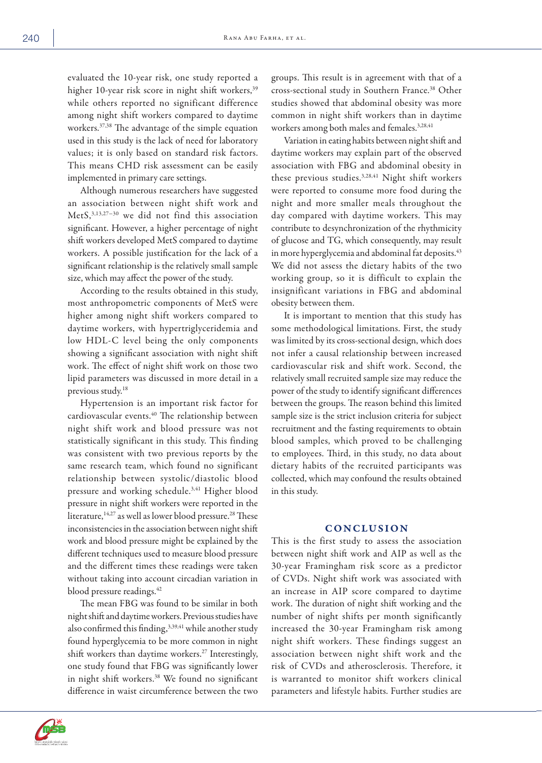evaluated the 10-year risk, one study reported a higher 10-year risk score in night shift workers,<sup>39</sup> while others reported no significant difference among night shift workers compared to daytime workers.37,38 The advantage of the simple equation used in this study is the lack of need for laboratory values; it is only based on standard risk factors. This means CHD risk assessment can be easily implemented in primary care settings.

Although numerous researchers have suggested an association between night shift work and MetS,3,13,27-30 we did not find this association significant. However, a higher percentage of night shift workers developed MetS compared to daytime workers. A possible justification for the lack of a significant relationship is the relatively small sample size, which may affect the power of the study.

According to the results obtained in this study, most anthropometric components of MetS were higher among night shift workers compared to daytime workers, with hypertriglyceridemia and low HDL-C level being the only components showing a significant association with night shift work. The effect of night shift work on those two lipid parameters was discussed in more detail in a previous study.18

Hypertension is an important risk factor for cardiovascular events.<sup>40</sup> The relationship between night shift work and blood pressure was not statistically significant in this study. This finding was consistent with two previous reports by the same research team, which found no significant relationship between systolic/diastolic blood pressure and working schedule.<sup>3,41</sup> Higher blood pressure in night shift workers were reported in the literature,<sup>14,27</sup> as well as lower blood pressure.<sup>28</sup> These inconsistencies in the association between night shift work and blood pressure might be explained by the different techniques used to measure blood pressure and the different times these readings were taken without taking into account circadian variation in blood pressure readings.<sup>42</sup>

The mean FBG was found to be similar in both night shift and daytime workers. Previous studies have also confirmed this finding, 3,39,41 while another study found hyperglycemia to be more common in night shift workers than daytime workers.<sup>27</sup> Interestingly, one study found that FBG was significantly lower in night shift workers.38 We found no significant difference in waist circumference between the two

groups. This result is in agreement with that of a cross-sectional study in Southern France.38 Other studies showed that abdominal obesity was more common in night shift workers than in daytime workers among both males and females.<sup>3,28,41</sup>

Variation in eating habits between night shift and daytime workers may explain part of the observed association with FBG and abdominal obesity in these previous studies.<sup>3,28,41</sup> Night shift workers were reported to consume more food during the night and more smaller meals throughout the day compared with daytime workers. This may contribute to desynchronization of the rhythmicity of glucose and TG, which consequently, may result in more hyperglycemia and abdominal fat deposits.<sup>43</sup> We did not assess the dietary habits of the two working group, so it is difficult to explain the insignificant variations in FBG and abdominal obesity between them.

It is important to mention that this study has some methodological limitations. First, the study was limited by its cross-sectional design, which does not infer a causal relationship between increased cardiovascular risk and shift work. Second, the relatively small recruited sample size may reduce the power of the study to identify significant differences between the groups. The reason behind this limited sample size is the strict inclusion criteria for subject recruitment and the fasting requirements to obtain blood samples, which proved to be challenging to employees. Third, in this study, no data about dietary habits of the recruited participants was collected, which may confound the results obtained in this study.

#### **CONCLUSION**

This is the first study to assess the association between night shift work and AIP as well as the 30-year Framingham risk score as a predictor of CVDs. Night shift work was associated with an increase in AIP score compared to daytime work. The duration of night shift working and the number of night shifts per month significantly increased the 30-year Framingham risk among night shift workers. These findings suggest an association between night shift work and the risk of CVDs and atherosclerosis. Therefore, it is warranted to monitor shift workers clinical parameters and lifestyle habits. Further studies are

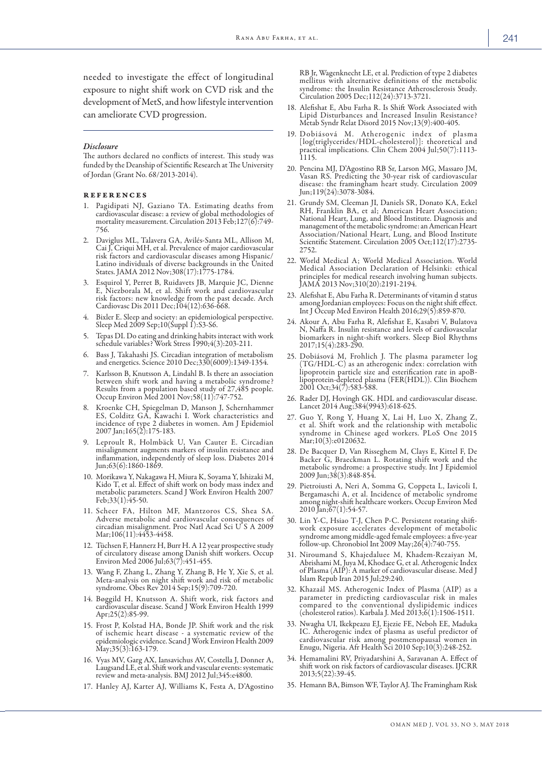needed to investigate the effect of longitudinal exposure to night shift work on CVD risk and the development of MetS, and how lifestyle intervention can ameliorate CVD progression.

#### *Disclosure*

The authors declared no conflicts of interest. This study was funded by the Deanship of Scientific Research at The University of Jordan (Grant No. 68/2013-2014).

#### references

- 1. Pagidipati NJ, Gaziano TA. Estimating deaths from cardiovascular disease: a review of global methodologies of mortality measurement. Circulation 2013 Feb; 127(6):749-756.
- 2. Daviglus ML, Talavera GA, Avilés-Santa ML, Allison M, Cai J, Criqui MH, et al. Prevalence of major cardiovascular risk factors and cardiovascular diseases among Hispanic/ Latino individuals of diverse backgrounds in the United States. JAMA 2012 Nov;308(17):1775-1784.
- 3. Esquirol Y, Perret B, Ruidavets JB, Marquie JC, Dienne E, Niezborala M, et al. Shift work and cardiovascular risk factors: new knowledge from the past decade. Arch Cardiovasc Dis 2011 Dec;104(12):636-668.
- 4. Bixler E. Sleep and society: an epidemiological perspective. Sleep Med 2009 Sep;10(Suppl 1):S3-S6.
- 5. Tepas DI. Do eating and drinking habits interact with work schedule variables? Work Stress 1990;4(3):203-211.
- 6. Bass J, Takahashi JS. Circadian integration of metabolism and energetics. Science 2010 Dec;330(6009):1349-1354.
- Karlsson B, Knutsson A, Lindahl B. Is there an association between shift work and having a metabolic syndrome? Results from a population based study of 27,485 people. Occup Environ Med 2001 Nov;58(11):747-752.
- 8. Kroenke CH, Spiegelman D, Manson J, Schernhammer ES, Colditz GA, Kawachi I. Work characteristics and incidence of type 2 diabetes in women. Am J Epidemiol 2007 Jan;165(2):175-183.
- 9. Leproult R, Holmbäck U, Van Cauter E. Circadian misalignment augments markers of insulin resistance and inflammation, independently of sleep loss. Diabetes 2014 Jun;63(6):1860-1869.
- 10. Morikawa Y, Nakagawa H, Miura K, Soyama Y, Ishizaki M, Kido T, et al. Effect of shift work on body mass index and metabolic parameters. Scand J Work Environ Health 2007 Feb;33(1):45-50.
- 11. Scheer FA, Hilton MF, Mantzoros CS, Shea SA. Adverse metabolic and cardiovascular consequences of circadian misalignment. Proc Natl Acad Sci U S A 2009 Mar;106(11):4453-4458.
- 12. Tüchsen F, Hannerz H, Burr H. A 12 year prospective study of circulatory disease among Danish shift workers. Occup Environ Med 2006 Jul;63(7):451-455.
- 13. Wang F, Zhang L, Zhang Y, Zhang B, He Y, Xie S, et al. Meta-analysis on night shift work and risk of metabolic syndrome. Obes Rev 2014 Sep;15(9):709-720.
- 14. Bøggild H, Knutsson A. Shift work, risk factors and cardiovascular disease. Scand J Work Environ Health 1999 Apr;25(2):85-99.
- 15. Frost P, Kolstad HA, Bonde JP. Shift work and the risk of ischemic heart disease - a systematic review of the epidemiologic evidence. Scand J Work Environ Health 2009 May;35(3):163-179.
- 16. Vyas MV, Garg AX, Iansavichus AV, Costella J, Donner A, Laugsand LE, et al. Shift work and vascular events: systematic review and meta-analysis. BMJ 2012 Jul;345:e4800.
- 17. Hanley AJ, Karter AJ, Williams K, Festa A, D'Agostino

RB Jr, Wagenknecht LE, et al. Prediction of type 2 diabetes mellitus with alternative definitions of the metabolic syndrome: the Insulin Resistance Atherosclerosis Study. Circulation 2005 Dec;112(24):3713-3721.

- 18. Alefishat E, Abu Farha R. Is Shift Work Associated with Lipid Disturbances and Increased Insulin Resistance? Metab Syndr Relat Disord 2015 Nov;13(9):400-405.
- 19. Dobiásová M. Atherogenic index of plasma [log(triglycerides/HDL-cholesterol)]: theoretical and practical implications. Clin Chem 2004 Jul;50(7):1113- 1115.
- 20. Pencina MJ, D'Agostino RB Sr, Larson MG, Massaro JM, Vasan RS. Predicting the 30-year risk of cardiovascular disease: the framingham heart study. Circulation 2009 Jun;119(24):3078-3084.
- 21. Grundy SM, Cleeman JI, Daniels SR, Donato KA, Eckel RH, Franklin BA, et al; American Heart Association; nanagement of the metabolic syndrome: an American Heart Association/National Heart, Lung, and Blood Institute Scientific Statement. Circulation 2005 Oct;112(17):2735- 2752.
- 22. World Medical A; World Medical Association. World Medical Association Declaration of Helsinki: ethical principles for medical research involving human subjects. JAMA 2013 Nov;310(20):2191-2194.
- 23. Alefishat E, Abu Farha R. Determinants of vitamin d status among Jordanian employees: Focus on the night shift effect. Int J Occup Med Environ Health 2016;29(5):859-870.
- 24. Akour A, Abu Farha R, Alefishat E, Kasabri V, Bulatova N, Naffa R. Insulin resistance and levels of cardiovascular biomarkers in night-shift workers. Sleep Biol Rhythms 2017;15(4):283-290.
- 25. Dobiásová M, Frohlich J. The plasma parameter log (TG/HDL-C) as an atherogenic index: correlation with lipoprotein particle size and esterification rate in apoBlipoprotein-depleted plasma (FER(HDL)). Clin Biochem 2001 Oct;34(7):583-588.
- 26. Rader DJ, Hovingh GK. HDL and cardiovascular disease. Lancet 2014 Aug;384(9943):618-625.
- 27. Guo Y, Rong Y, Huang X, Lai H, Luo X, Zhang Z, et al. Shift work and the relationship with metabolic syndrome in Chinese aged workers. PLoS One 2015 Mar;10(3):e0120632.
- 28. De Bacquer D, Van Risseghem M, Clays E, Kittel F, De metabolic syndrome: a prospective study. Int J Epidemiol<br>2009 Jun;38(3):848-854.
- 29. Pietroiusti A, Neri A, Somma G, Coppeta L, Iavicoli I, Bergamaschi A, et al. Incidence of metabolic syndrome among night-shift healthcare workers. Occup Environ Med 2010 Jan;67(1):54-57.
- 30. Lin Y-C, Hsiao T-J, Chen P-C. Persistent rotating shift- work exposure accelerates development of metabolic syndrome among middle-aged female employees: a five-year follow-up. Chronobiol Int 2009 May;26(4):740-755.
- 31. Niroumand S, Khajedaluee M, Khadem-Rezaiyan M, Abrishami M, Juya M, Khodaee G, et al. Atherogenic Index of Plasma (AIP): A marker of cardiovascular disease. Med J Islam Repub Iran 2015 Jul;29:240.
- 32. Khazaál MS. Atherogenic Index of Plasma (AIP) as a parameter in predicting cardiovascular risk in males compared to the conventional dyslipidemic indices (cholesterol ratios). Karbala J. Med 2013;6(1):1506-1511.
- 33. Nwagha UI, Ikekpeazu EJ, Ejezie FE, Neboh EE, Maduka IC. Atherogenic index of plasma as useful predictor of cardiovascular risk among postmenopausal women in Enugu, Nigeria. Afr Health Sci 2010 Sep;10(3):248-252.
- 34. Hemamalini RV, Priyadarshini A, Saravanan A. Effect of shift work on risk factors of cardiovascular diseases. IJCRR 2013;5(22):39-45.
- 35. Hemann BA, Bimson WF, Taylor AJ. The Framingham Risk